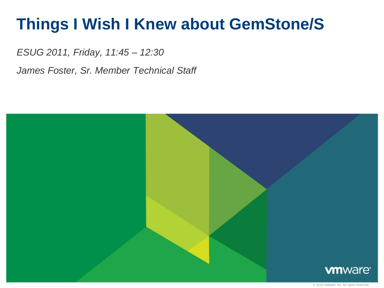# **Things I Wish I Knew about GemStone/S**

*ESUG 2011, Friday, 11:45 – 12:30*

*James Foster, Sr. Member Technical Staff*

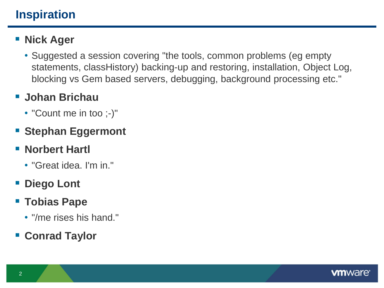# **Inspiration**

## **Nick Ager**

• Suggested a session covering "the tools, common problems (eg empty statements, classHistory) backing-up and restoring, installation, Object Log, blocking vs Gem based servers, debugging, background processing etc."

### **Johan Brichau**

• "Count me in too ;-)"

# **Stephan Eggermont**

## **Norbert Hartl**

• "Great idea. I'm in."

# **Diego Lont**

- **Tobias Pape**
	- "/me rises his hand."

# **Conrad Taylor**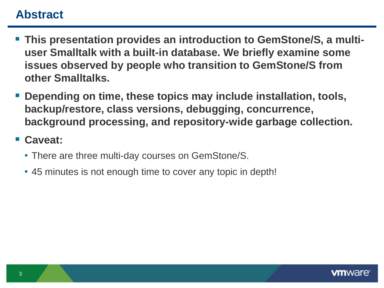### **Abstract**

- **This presentation provides an introduction to GemStone/S, a multiuser Smalltalk with a built-in database. We briefly examine some issues observed by people who transition to GemStone/S from other Smalltalks.**
- **Depending on time, these topics may include installation, tools, backup/restore, class versions, debugging, concurrence, background processing, and repository-wide garbage collection.**

#### **Caveat:**

- There are three multi-day courses on GemStone/S.
- 45 minutes is not enough time to cover any topic in depth!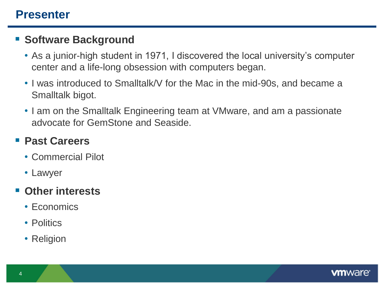### **Presenter**

#### **Software Background**

- As a junior-high student in 1971, I discovered the local university's computer center and a life-long obsession with computers began.
- I was introduced to Smalltalk/V for the Mac in the mid-90s, and became a Smalltalk bigot.
- I am on the Smalltalk Engineering team at VMware, and am a passionate advocate for GemStone and Seaside.

#### **Past Careers**

- Commercial Pilot
- Lawyer

#### **Other interests**

- Economics
- Politics
- Religion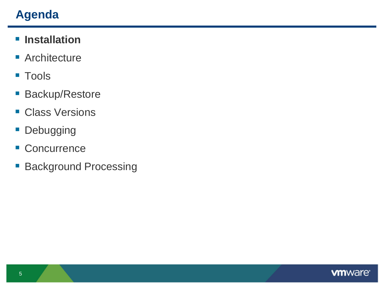# **Agenda**

## $\blacksquare$  Installation

- **Architecture**
- Tools
- **Backup/Restore**
- **Class Versions**
- **Debugging**
- **Concurrence**
- **Background Processing**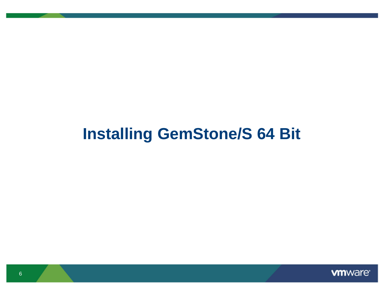# **Installing GemStone/S 64 Bit**

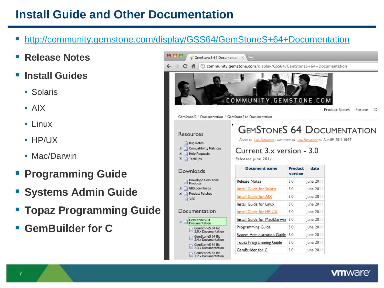# **Install Guide and Other Documentation**

- <http://community.gemstone.com/display/GSS64/GemStoneS+64+Documentation>
- **Release Notes**
- **Install Guides**
	- Solaris
	- AIX
	- Linux
	- HP/UX

7

- Mac/Darwin
- **Programming Guide**
- **Systems Admin Guide**
- **Topaz Programming Guide**
- **GemBuilder for C**

| GemStoneS 64 Documentatio X                                           | \ 순                                                                                                              |                           |                  |                |        |    |
|-----------------------------------------------------------------------|------------------------------------------------------------------------------------------------------------------|---------------------------|------------------|----------------|--------|----|
| ⊙                                                                     | community.gemstone.com/display/GSS64/GemStoneS+64+Documentation                                                  |                           |                  |                |        |    |
|                                                                       | <b><i><u>ACOMMUNITY.GEMSTONE.COM</u></i></b>                                                                     |                           |                  | Product Spaces | Forums | D. |
| GemStone/S / Documentation / GemStoneS 64 Documentation               |                                                                                                                  |                           |                  |                |        |    |
| Resources<br><b>Bug Notes</b><br><b>Compatibility Matrices</b><br>$+$ | <b>GEMSTONES 64 DOCUMENTATION</b><br>Added by Lisa Almarode , last edited by Lisa Almarode on Aug 09, 2011 10:37 |                           |                  |                |        |    |
| $\blacksquare$<br><b>Help Requests</b><br>$\blacksquare$<br>TechTips  | Current 3.x version - 3.0<br>Released June 2011                                                                  |                           |                  |                |        |    |
| Downloads                                                             | <b>Document name</b>                                                                                             | <b>Product</b><br>version | date             |                |        |    |
| Download GemStone                                                     | <b>Release Notes</b>                                                                                             | 3.0                       | $lune$ 2011      |                |        |    |
| <b>Products</b><br>GBS downloads<br>$\pm$                             | <b>Install Guide for Solaris</b>                                                                                 | 3.0                       | June 2011        |                |        |    |
| $\blacksquare$<br><b>Product Patches</b>                              | Install Guide for AIX                                                                                            | 3.0                       | June 2011        |                |        |    |
| <b>VSD</b>                                                            | Install Guide for Linux                                                                                          | 3.0                       | June 2011        |                |        |    |
| Documentation                                                         | Install Guide for HP-UX                                                                                          | 3.0                       | June 2011        |                |        |    |
| GemStoneS 64                                                          | Install Guide for Mac/Darwin                                                                                     | 3.0                       | <b>lune 2011</b> |                |        |    |
| 曰<br>Documentation<br>GemStoneS 64 bit                                | <b>Programming Guide</b>                                                                                         | 3.0                       | $lune$ 2011      |                |        |    |
| 3.0.x Documentation<br>GemStoneS 64 Bit                               | System Administration Guide                                                                                      | 3.0                       | June 2011        |                |        |    |
| 2.4.x Documentation<br>GemStoneS 64 Bit<br>2.3.x Documentation        | <b>Topaz Programming Guide</b>                                                                                   | 3.0                       | June 2011        |                |        |    |

**vm**ware<sup>®</sup>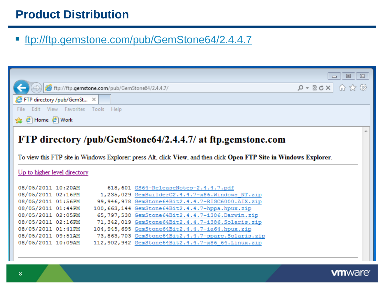# **Product Distribution**

#### ■ ftp://ftp.gemstone.com/pub/GemStone64/2.4.4.7

|                                                                                                                                                                                                                  |  |                                                     | $\Sigma$<br>▣                      |  |
|------------------------------------------------------------------------------------------------------------------------------------------------------------------------------------------------------------------|--|-----------------------------------------------------|------------------------------------|--|
| eftp://ftp.gemstone.com/pub/GemStone64/2.4.4.7/                                                                                                                                                                  |  |                                                     | 偷 ☆ 戀<br>$ X \cup \mathbb{Z} - Q $ |  |
| FTP directory /pub/GemSt X                                                                                                                                                                                       |  |                                                     |                                    |  |
| Edit View Favorites Tools Help<br>File                                                                                                                                                                           |  |                                                     |                                    |  |
| 4 8 Home 8 Work                                                                                                                                                                                                  |  |                                                     |                                    |  |
| FTP directory/pub/GemStone64/2.4.4.7/ at ftp.gemstone.com<br>To view this FTP site in Windows Explorer: press Alt, click View, and then click Open FTP Site in Windows Explorer.<br>Up to higher level directory |  |                                                     |                                    |  |
| 08/05/2011 10:20AM                                                                                                                                                                                               |  | 618, 601 GS64-ReleaseNotes-2.4.4.7.pdf              |                                    |  |
| 08/05/2011 02:16PM                                                                                                                                                                                               |  | 1,235,029 GemBuilderC2.4.4.7-x86.Windows NT.zip     |                                    |  |
| 08/05/2011 01:56PM                                                                                                                                                                                               |  | 99, 946, 978 GemStone64Bit2.4.4.7-RISC6000.AIX.zip  |                                    |  |
| 08/05/2011 01:44PM                                                                                                                                                                                               |  | 100, 663, 144 GemStone 64Bit2. 4.4.7-hppa.hpux.zip  |                                    |  |
| 08/05/2011 02:05PM                                                                                                                                                                                               |  | 65,797,538 GemStone64Bit2.4.4.7-i386.Darwin.zip     |                                    |  |
| 08/05/2011 02:16PM                                                                                                                                                                                               |  | 71, 342, 019 GemStone64Bit2.4.4.7-i386. Solaris.zip |                                    |  |
| 08/05/2011 01:41PM                                                                                                                                                                                               |  | 104, 945, 695 GemStone64Bit2.4.4.7-ia64.hpux.zip    |                                    |  |
| 08/05/2011 09:51AM                                                                                                                                                                                               |  | 73,863,703 GemStone64Bit2.4.4.7-sparc.Solaris.zip   |                                    |  |
| 08/05/2011 10:09AM                                                                                                                                                                                               |  | 112,902,942 GemStone64Bit2.4.4.7-x86 64. Linux.zip  |                                    |  |
|                                                                                                                                                                                                                  |  |                                                     |                                    |  |

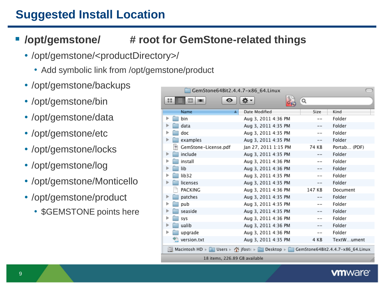# **Suggested Install Location**

### **/opt/gemstone/ # root for GemStone-related things**

- /opt/gemstone/<productDirectory>/
	- Add symbolic link from /opt/gemstone/product
- /opt/gemstone/backups
- /opt/gemstone/bin
- /opt/gemstone/data
- /opt/gemstone/etc
- /opt/gemstone/locks
- /opt/gemstone/log
- /opt/gemstone/Monticello
- /opt/gemstone/product
	- \$GEMSTONE points here

| GemStone64Bit2.4.4.7-x86_64.Linux                                                   |                      |         |              |  |
|-------------------------------------------------------------------------------------|----------------------|---------|--------------|--|
| 멻<br>$\Box$<br>⊙<br><b>ITEN</b><br>≡                                                |                      | Q       |              |  |
| Name                                                                                | Date Modified        | Size    | Kind         |  |
| ▶<br>bin                                                                            | Aug 3, 2011 4:36 PM  | $-$     | Folder       |  |
| data                                                                                | Aug 3, 2011 4:35 PM  |         | Folder       |  |
| doc<br>Þ                                                                            | Aug 3, 2011 4:35 PM  | $- -$   | Folder       |  |
| examples<br>▶                                                                       | Aug 3, 2011 4:35 PM  | $- -$   | Folder       |  |
| 톽<br>GemStone-License.pdf                                                           | Jan 27, 2011 1:15 PM | 74 KB   | Portab (PDF) |  |
| include<br>₽                                                                        | Aug 3, 2011 4:35 PM  | $- -$   | Folder       |  |
| install<br>▶                                                                        | Aug 3, 2011 4:36 PM  | $-$     | Folder       |  |
| lib<br>⋗                                                                            | Aug 3, 2011 4:36 PM  | $- -$   | Folder       |  |
| lib32<br>⋗                                                                          | Aug 3, 2011 4:35 PM  | $=$ $-$ | Folder       |  |
| licenses<br>▶                                                                       | Aug 3, 2011 4:35 PM  | $- -$   | Folder       |  |
| PACKING                                                                             | Aug 3, 2011 4:36 PM  | 147 KB  | Document     |  |
| patches<br>▶                                                                        | Aug 3, 2011 4:35 PM  | $-$     | Folder       |  |
| pub<br>▶                                                                            | Aug 3, 2011 4:35 PM  |         | Folder       |  |
| seaside<br>⋗                                                                        | Aug 3, 2011 4:35 PM  | $- -$   | Folder       |  |
| ▶<br>sys                                                                            | Aug 3, 2011 4:36 PM  |         | Folder       |  |
| ualib<br>▶                                                                          | Aug 3, 2011 4:36 PM  |         | Folder       |  |
| upgrade<br>Þ                                                                        | Aug 3, 2011 4:36 PM  | $- -$   | Folder       |  |
| version.txt                                                                         | Aug 3, 2011 4:35 PM  | 4 KB    | TextWument   |  |
| Macintosh HD + 2 Users + 个 jfoste + 2 Desktop + 2 GemStone64Bit2.4.4.7-x86_64.Linux |                      |         |              |  |
| 18 items, 226.89 GB available                                                       |                      |         |              |  |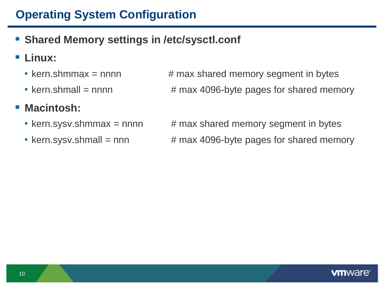# **Operating System Configuration**

- **Shared Memory settings in /etc/sysctl.conf**
- **Linux:**
	-
	-

#### **Macintosh:**

- 
- 

• kern.shmmax = nnnn  $#$  max shared memory segment in bytes • kern.shmall = nnnn  $#$  max 4096-byte pages for shared memory

• kern.sysv.shmmax = nnnn  $\qquad$  # max shared memory segment in bytes • kern.sysv.shmall = nnn  $#$  max 4096-byte pages for shared memory

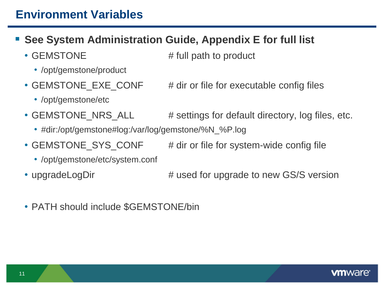# **Environment Variables**

- **See System Administration Guide, Appendix E for full list**
	- - /opt/gemstone/product
	- GEMSTONE\_EXE\_CONF # dir or file for executable config files
		- /opt/gemstone/etc
	- GEMSTONE\_NRS\_ALL # settings for default directory, log files, etc.
		- #dir:/opt/gemstone#log:/var/log/gemstone/%N\_%P.log
	- GEMSTONE\_SYS\_CONF # dir or file for system-wide config file
		- /opt/gemstone/etc/system.conf
	-

11

- upgradeLogDir **#** used for upgrade to new GS/S version
- PATH should include \$GEMSTONE/bin

• GEMSTONE  $\qquad$  # full path to product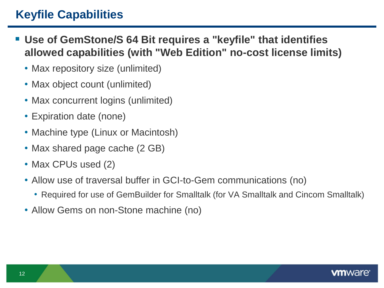# **Keyfile Capabilities**

- **Use of GemStone/S 64 Bit requires a "keyfile" that identifies allowed capabilities (with "Web Edition" no-cost license limits)**
	- Max repository size (unlimited)
	- Max object count (unlimited)
	- Max concurrent logins (unlimited)
	- Expiration date (none)
	- Machine type (Linux or Macintosh)
	- Max shared page cache (2 GB)
	- Max CPUs used (2)
	- Allow use of traversal buffer in GCI-to-Gem communications (no)
		- Required for use of GemBuilder for Smalltalk (for VA Smalltalk and Cincom Smalltalk)
	- Allow Gems on non-Stone machine (no)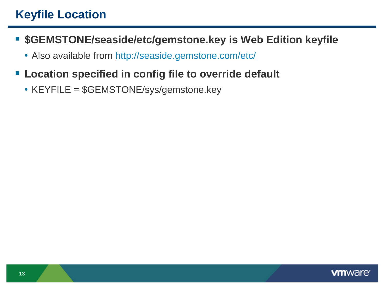- **\$GEMSTONE/seaside/etc/gemstone.key is Web Edition keyfile**
	- Also available from http://seaside.gemstone.com/etc/
- **Location specified in config file to override default** 
	- KEYFILE = \$GEMSTONE/sys/gemstone.key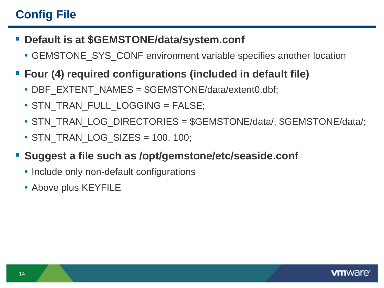# **Config File**

- **Default is at \$GEMSTONE/data/system.conf**
	- GEMSTONE\_SYS\_CONF environment variable specifies another location
- **Four (4) required configurations (included in default file)**
	- DBF\_EXTENT\_NAMES = \$GEMSTONE/data/extent0.dbf;
	- STN\_TRAN\_FULL\_LOGGING = FALSE;
	- STN\_TRAN\_LOG\_DIRECTORIES = \$GEMSTONE/data/, \$GEMSTONE/data/;
	- STN\_TRAN\_LOG\_SIZES = 100, 100;
- **Suggest a file such as /opt/gemstone/etc/seaside.conf**
	- Include only non-default configurations
	- Above plus KEYFILE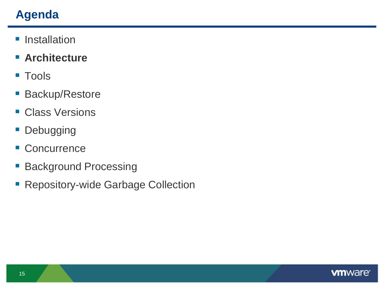# **Agenda**

- **Installation**
- **Architecture**
- Tools
- **Backup/Restore**
- **Class Versions**
- **Debugging**
- **Concurrence**
- **Background Processing**
- **Repository-wide Garbage Collection**

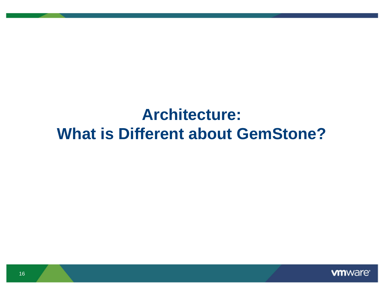# **Architecture: What is Different about GemStone?**

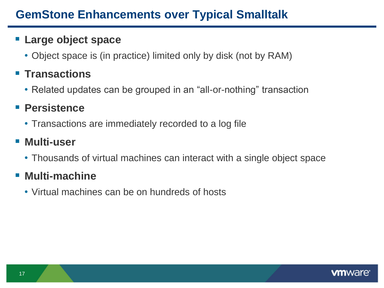#### **Large object space**

• Object space is (in practice) limited only by disk (not by RAM)

# **Transactions**

• Related updates can be grouped in an "all-or-nothing" transaction

## **Persistence**

• Transactions are immediately recorded to a log file

# **Multi-user**

• Thousands of virtual machines can interact with a single object space

## **Multi-machine**

• Virtual machines can be on hundreds of hosts

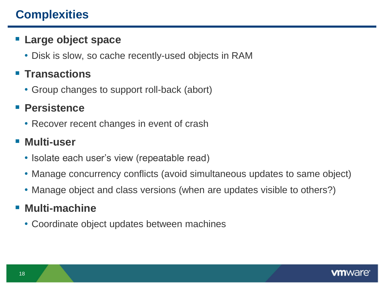# **Complexities**

#### **Large object space**

• Disk is slow, so cache recently-used objects in RAM

## **Transactions**

• Group changes to support roll-back (abort)

## **Persistence**

• Recover recent changes in event of crash

# **Multi-user**

- Isolate each user's view (repeatable read)
- Manage concurrency conflicts (avoid simultaneous updates to same object)
- Manage object and class versions (when are updates visible to others?)

## **Multi-machine**

• Coordinate object updates between machines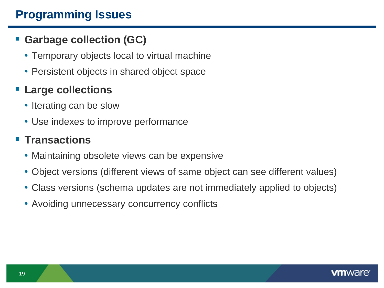# **Programming Issues**

## **Garbage collection (GC)**

- Temporary objects local to virtual machine
- Persistent objects in shared object space

## **Large collections**

- Iterating can be slow
- Use indexes to improve performance

## **F** Transactions

- Maintaining obsolete views can be expensive
- Object versions (different views of same object can see different values)
- Class versions (schema updates are not immediately applied to objects)
- Avoiding unnecessary concurrency conflicts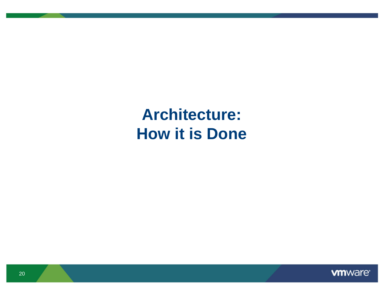**Architecture: How it is Done**

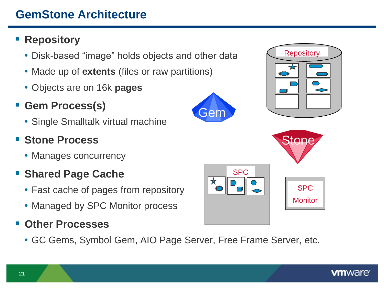# **GemStone Architecture**

## **Repository**

- Disk-based "image" holds objects and other data
- Made up of **extents** (files or raw partitions)
- Objects are on 16k **pages**
- **Gem Process(s)**
	- Single Smalltalk virtual machine

## **E** Stone Process

• Manages concurrency

## **Shared Page Cache**

- Fast cache of pages from repository
- Managed by SPC Monitor process

## **Other Processes**

• GC Gems, Symbol Gem, AIO Page Server, Free Frame Server, etc.





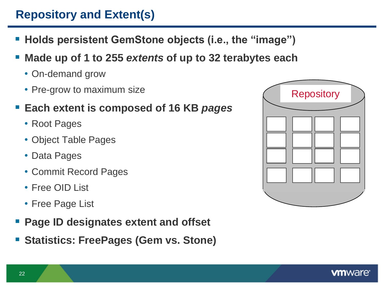# **Repository and Extent(s)**

- **Holds persistent GemStone objects (i.e., the "image")**
- **Made up of 1 to 255** *extents* **of up to 32 terabytes each**
	- On-demand grow
	- Pre-grow to maximum size
- **Each extent is composed of 16 KB** *pages*
	- Root Pages
	- Object Table Pages
	- Data Pages
	- Commit Record Pages
	- Free OID List
	- Free Page List
- **Page ID designates extent and offset**
- **F** Statistics: FreePages (Gem vs. Stone)

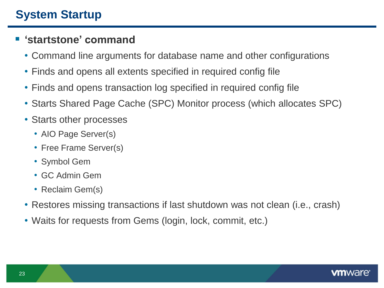#### **"startstone" command**

- Command line arguments for database name and other configurations
- Finds and opens all extents specified in required config file
- Finds and opens transaction log specified in required config file
- Starts Shared Page Cache (SPC) Monitor process (which allocates SPC)
- Starts other processes
	- AIO Page Server(s)
	- Free Frame Server(s)
	- Symbol Gem
	- GC Admin Gem
	- Reclaim Gem(s)
- Restores missing transactions if last shutdown was not clean (i.e., crash)
- Waits for requests from Gems (login, lock, commit, etc.)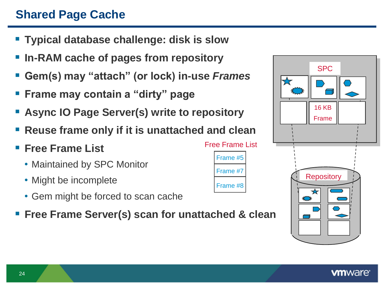# **Shared Page Cache**

- **Typical database challenge: disk is slow**
- **In-RAM cache of pages from repository**
- **Gem(s) may "attach" (or lock) in-use** *Frames*
- **Frame may contain a "dirty" page**
- **Async IO Page Server(s) write to repository**
- **Reuse frame only if it is unattached and clean**
- **Free Frame List**
	- Maintained by SPC Monitor
	- Might be incomplete
	- Gem might be forced to scan cache
- **Free Frame Server(s) scan for unattached & clean**

Frame #5

Free Frame List

Frame #7

Frame #8

|                                  | <b>SPC</b>            |  |  |  |
|----------------------------------|-----------------------|--|--|--|
| $\blacktriangledown$<br>ੋਂ       |                       |  |  |  |
|                                  | <b>16 KB</b><br>Frame |  |  |  |
|                                  |                       |  |  |  |
| <b>Repository</b><br>ī<br>١<br>☆ |                       |  |  |  |
|                                  |                       |  |  |  |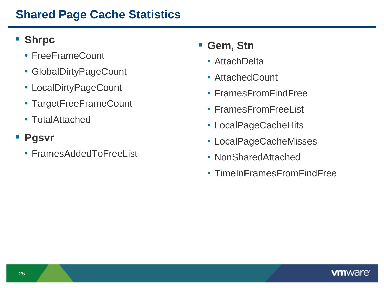# **Shared Page Cache Statistics**

## **Shrpc**

- FreeFrameCount
- GlobalDirtyPageCount
- LocalDirtyPageCount
- TargetFreeFrameCount
- TotalAttached
- **Pgsvr**
	- FramesAddedToFreeList

## **Gem, Stn**

- AttachDelta
- AttachedCount
- FramesFromFindFree
- FramesFromFreeList
- LocalPageCacheHits
- LocalPageCacheMisses
- NonSharedAttached
- TimeInFramesFromFindFree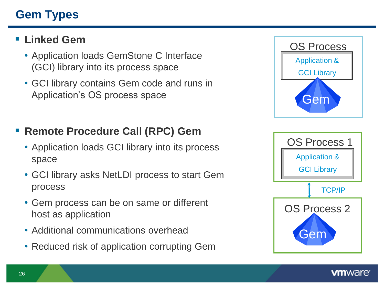# **Gem Types**

### **Linked Gem**

- Application loads GemStone C Interface (GCI) library into its process space
- GCI library contains Gem code and runs in Application's OS process space

### **Remote Procedure Call (RPC) Gem**

- Application loads GCI library into its process space
- GCI library asks NetLDI process to start Gem process
- Gem process can be on same or different host as application
- Additional communications overhead
- Reduced risk of application corrupting Gem



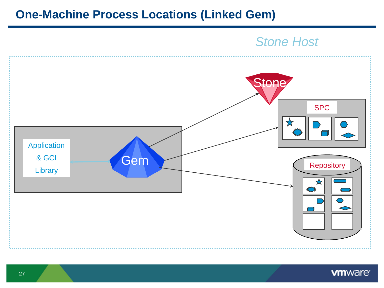### **One-Machine Process Locations (Linked Gem)**

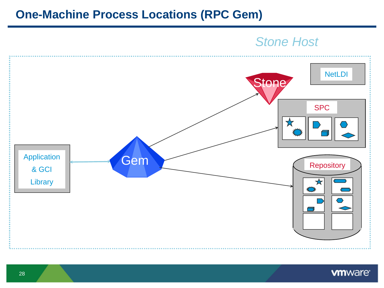### **One-Machine Process Locations (RPC Gem)**



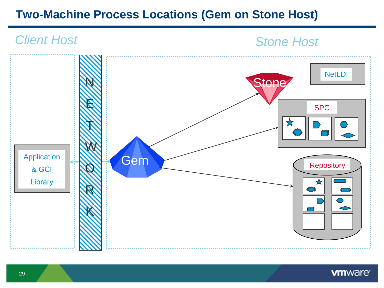# **Two-Machine Process Locations (Gem on Stone Host)**

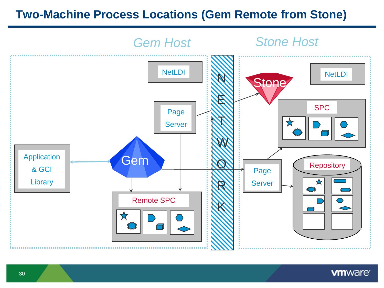## **Two-Machine Process Locations (Gem Remote from Stone)**



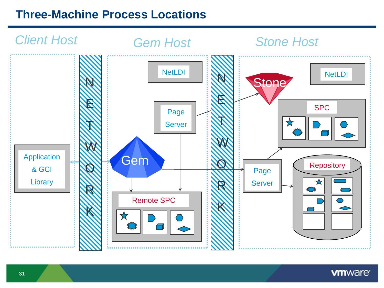# **Three-Machine Process Locations**

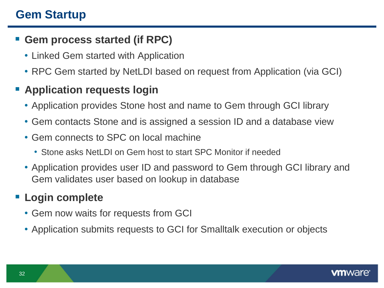# **Gem Startup**

#### **Gem process started (if RPC)**

- Linked Gem started with Application
- RPC Gem started by NetLDI based on request from Application (via GCI)

## **E** Application requests login

- Application provides Stone host and name to Gem through GCI library
- Gem contacts Stone and is assigned a session ID and a database view
- Gem connects to SPC on local machine
	- Stone asks NetLDI on Gem host to start SPC Monitor if needed
- Application provides user ID and password to Gem through GCI library and Gem validates user based on lookup in database

# **Login complete**

- Gem now waits for requests from GCI
- Application submits requests to GCI for Smalltalk execution or objects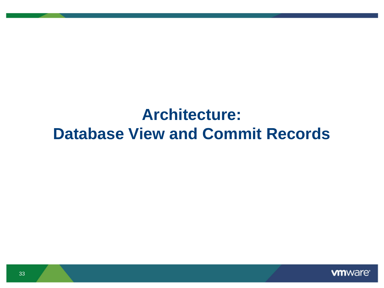# **Architecture: Database View and Commit Records**

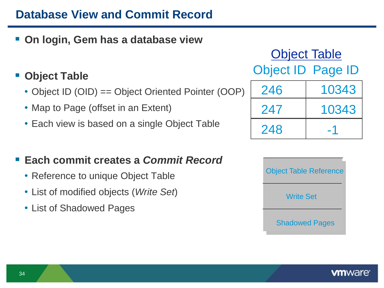# **Database View and Commit Record**

#### **On login, Gem has a database view**

#### **Object Table**

- Object ID (OID) == Object Oriented Pointer (OOP)
- Map to Page (offset in an Extent)
- Each view is based on a single Object Table

#### **Each commit creates a** *Commit Record*

- Reference to unique Object Table
- List of modified objects (*Write Set*)
- List of Shadowed Pages

246 10343 247 10343 Object Table Object ID Page ID

-1



248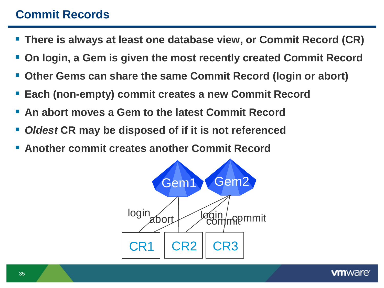# **Commit Records**

- **There is always at least one database view, or Commit Record (CR)**
- **On login, a Gem is given the most recently created Commit Record**
- **Other Gems can share the same Commit Record (login or abort)**
- **Each (non-empty) commit creates a new Commit Record**
- **An abort moves a Gem to the latest Commit Record**
- *Oldest* **CR may be disposed of if it is not referenced**
- **Another commit creates another Commit Record**

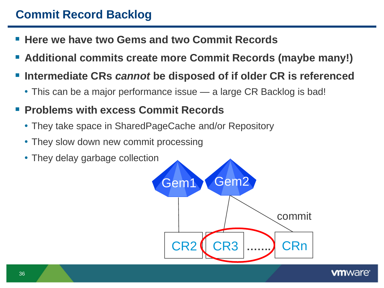# **Commit Record Backlog**

- **Here we have two Gems and two Commit Records**
- **Additional commits create more Commit Records (maybe many!)**
- **Intermediate CRs** *cannot* **be disposed of if older CR is referenced**
	- This can be a major performance issue a large CR Backlog is bad!
- **Problems with excess Commit Records** 
	- They take space in SharedPageCache and/or Repository
	- They slow down new commit processing
	- They delay garbage collection

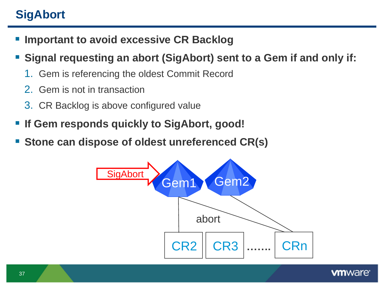# **SigAbort**

- **F** Important to avoid excessive CR Backlog
- **Signal requesting an abort (SigAbort) sent to a Gem if and only if:**
	- 1. Gem is referencing the oldest Commit Record
	- 2. Gem is not in transaction
	- 3. CR Backlog is above configured value
- **If Gem responds quickly to SigAbort, good!**
- **Stone can dispose of oldest unreferenced CR(s)**

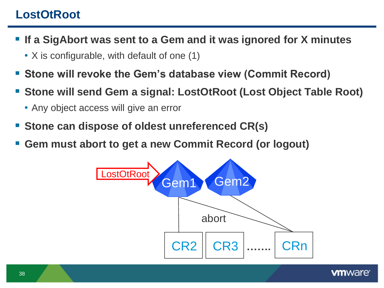## **LostOtRoot**

- **If a SigAbort was sent to a Gem and it was ignored for X minutes**
	- X is configurable, with default of one (1)
- **Stone will revoke the Gem"s database view (Commit Record)**
- **Stone will send Gem a signal: LostOtRoot (Lost Object Table Root)**
	- Any object access will give an error
- **Stone can dispose of oldest unreferenced CR(s)**
- **Gem must abort to get a new Commit Record (or logout)**

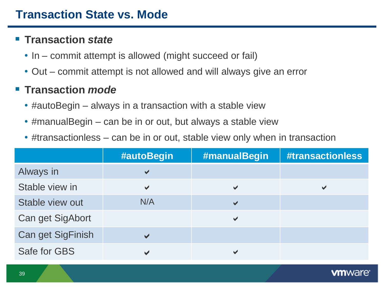#### **Transaction** *state*

- In commit attempt is allowed (might succeed or fail)
- Out commit attempt is not allowed and will always give an error

#### **Transaction** *mode*

- #autoBegin always in a transaction with a stable view
- #manualBegin can be in or out, but always a stable view
- #transactionless can be in or out, stable view only when in transaction

|                          | #autoBegin            | #manualBegin          | <b>#transactionless</b> |
|--------------------------|-----------------------|-----------------------|-------------------------|
| Always in                | $\checkmark$          |                       |                         |
| Stable view in           | ✔                     | $\blacktriangledown$  |                         |
| Stable view out          | N/A                   | $\blacktriangleright$ |                         |
| Can get SigAbort         |                       | $\blacktriangledown$  |                         |
| <b>Can get SigFinish</b> | $\blacktriangleright$ |                       |                         |
| Safe for GBS             |                       | ✔                     |                         |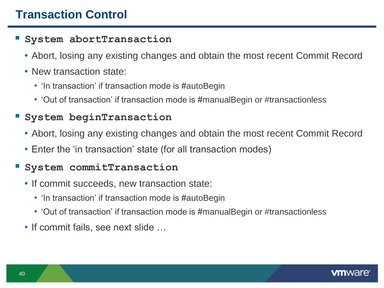# **Transaction Control**

#### **System abortTransaction**

- Abort, losing any existing changes and obtain the most recent Commit Record
- New transaction state:
	- 'In transaction' if transaction mode is #autoBegin
	- Out of transaction' if transaction mode is #manualBegin or #transactionless

#### **System beginTransaction**

- Abort, losing any existing changes and obtain the most recent Commit Record
- Enter the 'in transaction' state (for all transaction modes)

#### **System commitTransaction**

- If commit succeeds, new transaction state:
	- 'In transaction' if transaction mode is #autoBegin
	- Out of transaction' if transaction mode is #manualBegin or #transactionless
- If commit fails, see next slide …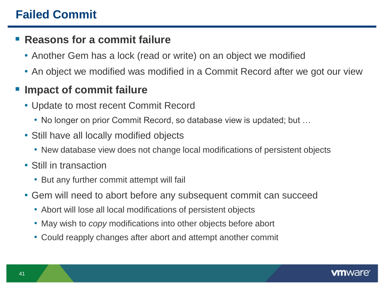## **Failed Commit**

#### **Reasons for a commit failure**

- Another Gem has a lock (read or write) on an object we modified
- An object we modified was modified in a Commit Record after we got our view

## **Impact of commit failure**

- Update to most recent Commit Record
	- No longer on prior Commit Record, so database view is updated; but …
- Still have all locally modified objects
	- New database view does not change local modifications of persistent objects
- Still in transaction
	- But any further commit attempt will fail
- Gem will need to abort before any subsequent commit can succeed
	- Abort will lose all local modifications of persistent objects
	- May wish to *copy* modifications into other objects before abort
	- Could reapply changes after abort and attempt another commit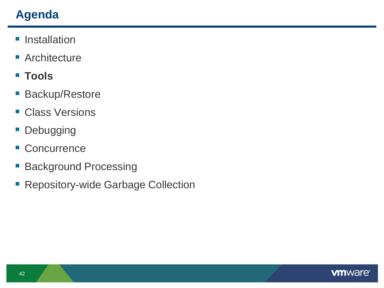# **Agenda**

- **Installation**
- **Architecture**
- **Tools**
- **Backup/Restore**
- **Class Versions**
- **Debugging**
- **Concurrence**
- **Background Processing**
- **Repository-wide Garbage Collection**

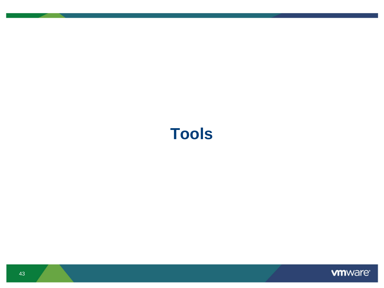# **Tools**

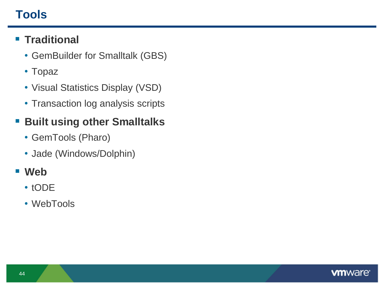# **Tools**

## **Traditional**

- GemBuilder for Smalltalk (GBS)
- Topaz
- Visual Statistics Display (VSD)
- Transaction log analysis scripts

## **Built using other Smalltalks**

- GemTools (Pharo)
- Jade (Windows/Dolphin)

#### **Web**

- tODE
- WebTools

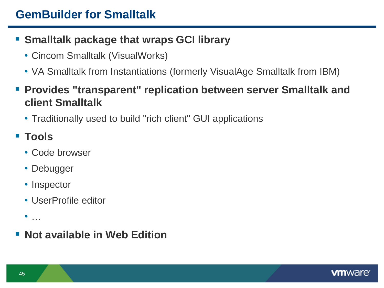## **GemBuilder for Smalltalk**

### **Smalltalk package that wraps GCI library**

- Cincom Smalltalk (VisualWorks)
- VA Smalltalk from Instantiations (formerly VisualAge Smalltalk from IBM)
- **Provides "transparent" replication between server Smalltalk and client Smalltalk**
	- Traditionally used to build "rich client" GUI applications

# **Tools**

- Code browser
- Debugger
- Inspector
- UserProfile editor
- $\bullet$  …
- **Not available in Web Edition**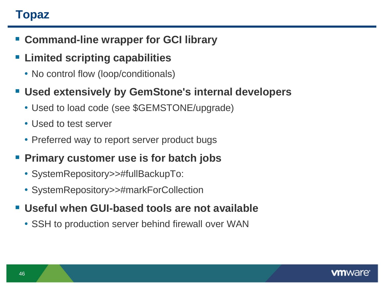# **Topaz**

- **Command-line wrapper for GCI library**
- **Limited scripting capabilities**
	- No control flow (loop/conditionals)

#### **Used extensively by GemStone's internal developers**

- Used to load code (see \$GEMSTONE/upgrade)
- Used to test server
- Preferred way to report server product bugs
- **Primary customer use is for batch jobs**
	- SystemRepository>>#fullBackupTo:
	- SystemRepository>>#markForCollection
- **Useful when GUI-based tools are not available**
	- SSH to production server behind firewall over WAN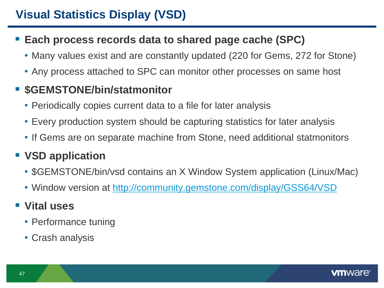#### **Each process records data to shared page cache (SPC)**

- Many values exist and are constantly updated (220 for Gems, 272 for Stone)
- Any process attached to SPC can monitor other processes on same host

## $\blacksquare$  **\$GEMSTONE/bin/statmonitor**

- Periodically copies current data to a file for later analysis
- Every production system should be capturing statistics for later analysis
- If Gems are on separate machine from Stone, need additional statmonitors

# **VSD application**

- \$GEMSTONE/bin/vsd contains an X Window System application (Linux/Mac)
- Window version at<http://community.gemstone.com/display/GSS64/VSD>

# **Vital uses**

- Performance tuning
- Crash analysis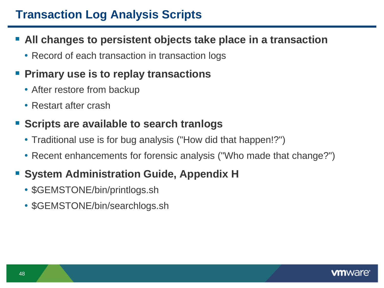# **Transaction Log Analysis Scripts**

#### **All changes to persistent objects take place in a transaction**

• Record of each transaction in transaction logs

### **Primary use is to replay transactions**

- After restore from backup
- Restart after crash

#### **Scripts are available to search tranlogs**

- Traditional use is for bug analysis ("How did that happen!?")
- Recent enhancements for forensic analysis ("Who made that change?")

## **System Administration Guide, Appendix H**

- \$GEMSTONE/bin/printlogs.sh
- \$GEMSTONE/bin/searchlogs.sh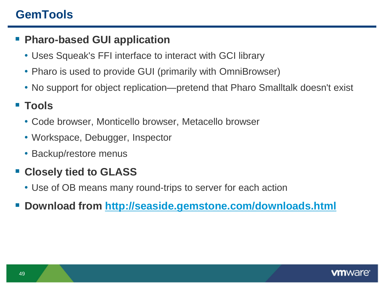## **GemTools**

#### **Pharo-based GUI application**

- Uses Squeak's FFI interface to interact with GCI library
- Pharo is used to provide GUI (primarily with OmniBrowser)
- No support for object replication—pretend that Pharo Smalltalk doesn't exist

### **Tools**

- Code browser, Monticello browser, Metacello browser
- Workspace, Debugger, Inspector
- Backup/restore menus

## **Closely tied to GLASS**

- Use of OB means many round-trips to server for each action
- **Download from<http://seaside.gemstone.com/downloads.html>**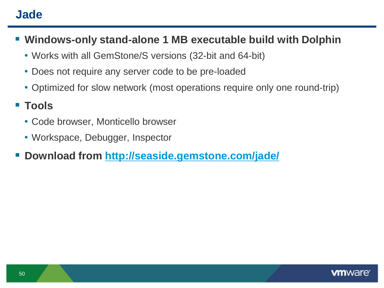## **Jade**

- **Windows-only stand-alone 1 MB executable build with Dolphin**
	- Works with all GemStone/S versions (32-bit and 64-bit)
	- Does not require any server code to be pre-loaded
	- Optimized for slow network (most operations require only one round-trip)

#### **Tools**

- Code browser, Monticello browser
- Workspace, Debugger, Inspector
- **Download from<http://seaside.gemstone.com/jade/>**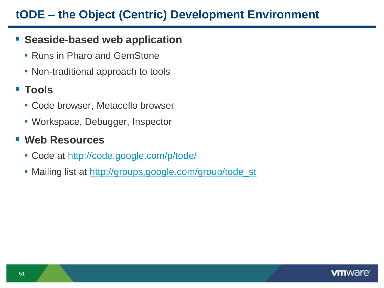## **tODE – the Object (Centric) Development Environment**

#### **Seaside-based web application**

- Runs in Pharo and GemStone
- Non-traditional approach to tools

## **Tools**

- Code browser, Metacello browser
- Workspace, Debugger, Inspector

#### **Web Resources**

- Code at<http://code.google.com/p/tode/>
- Mailing list at [http://groups.google.com/group/tode\\_st](http://groups.google.com/group/tode_st)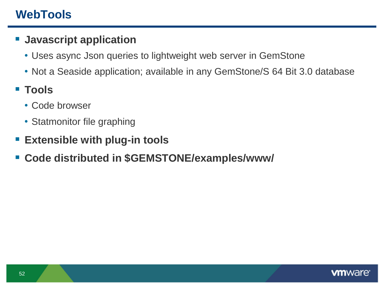# **WebTools**

#### **Javascript application**

- Uses async Json queries to lightweight web server in GemStone
- Not a Seaside application; available in any GemStone/S 64 Bit 3.0 database
- **Tools** 
	- Code browser
	- Statmonitor file graphing
- **Extensible with plug-in tools**
- **Code distributed in \$GEMSTONE/examples/www/**

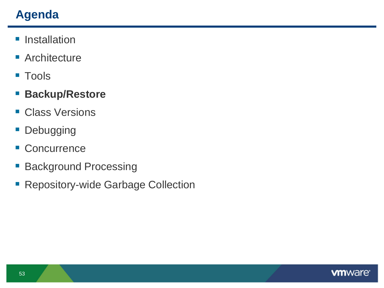# **Agenda**

- **Installation**
- **Architecture**
- Tools
- **Backup/Restore**
- **Class Versions**
- **Debugging**
- **Concurrence**
- **Background Processing**
- **Repository-wide Garbage Collection**

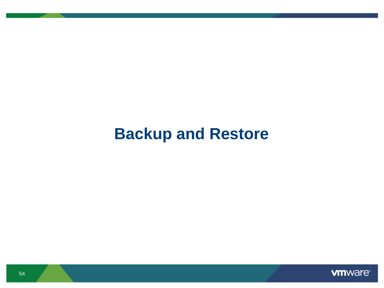# **Backup and Restore**

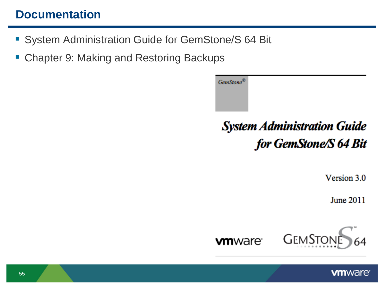## **Documentation**

- **System Administration Guide for GemStone/S 64 Bit**
- Chapter 9: Making and Restoring Backups

GemStone® **System Administration Guide** for GemStone/S 64 Bit

Version 3.0

June 2011

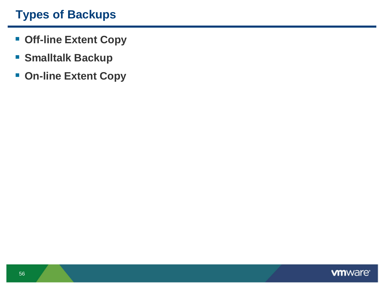# **Types of Backups**

- **Off-line Extent Copy**
- **Smalltalk Backup**
- **On-line Extent Copy**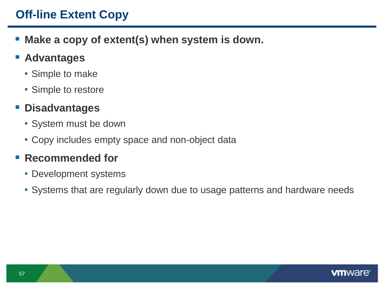## **Off-line Extent Copy**

**Make a copy of extent(s) when system is down.**

#### **E** Advantages

- Simple to make
- Simple to restore

#### **Disadvantages**

- System must be down
- Copy includes empty space and non-object data

#### **Recommended for**

- Development systems
- Systems that are regularly down due to usage patterns and hardware needs

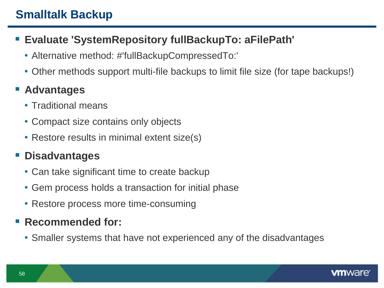# **Smalltalk Backup**

## **Evaluate 'SystemRepository fullBackupTo: aFilePath'**

- Alternative method: #'fullBackupCompressedTo:'
- Other methods support multi-file backups to limit file size (for tape backups!)

## **Advantages**

- Traditional means
- Compact size contains only objects
- Restore results in minimal extent size(s)

## **Disadvantages**

- Can take significant time to create backup
- Gem process holds a transaction for initial phase
- Restore process more time-consuming

## **Recommended for:**

• Smaller systems that have not experienced any of the disadvantages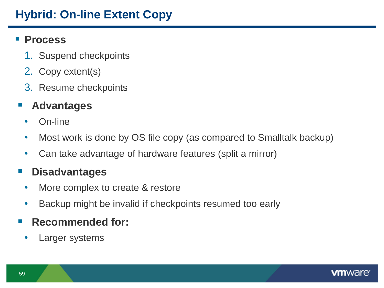# **Hybrid: On-line Extent Copy**

#### **Process**

- 1. Suspend checkpoints
- 2. Copy extent(s)
- 3. Resume checkpoints

#### **Advantages**

- On-line
- Most work is done by OS file copy (as compared to Smalltalk backup)
- Can take advantage of hardware features (split a mirror)

#### **Disadvantages**

- More complex to create & restore
- Backup might be invalid if checkpoints resumed too early

#### **Recommended for:**

Larger systems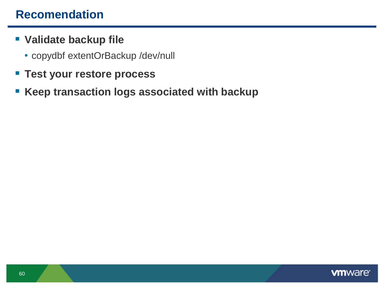## **Recomendation**

- **Validate backup file**
	- copydbf extentOrBackup /dev/null
- **Test your restore process**
- **Keep transaction logs associated with backup**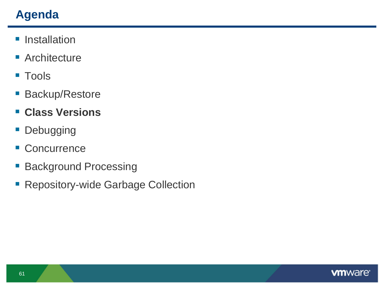# **Agenda**

- **Installation**
- **Architecture**
- **Tools**
- **Backup/Restore**
- **Class Versions**
- **Debugging**
- **Concurrence**
- **Background Processing**
- **Repository-wide Garbage Collection**

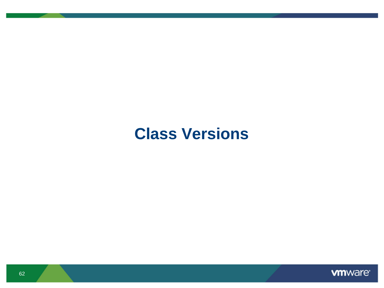# **Class Versions**

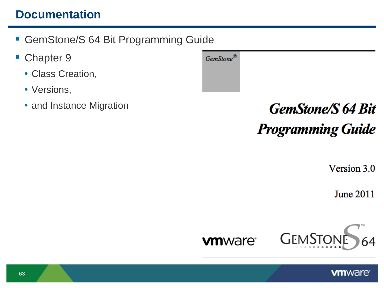## **Documentation**

- GemStone/S 64 Bit Programming Guide
- Chapter 9
	- Class Creation,
	- Versions,
	- and Instance Migration

| GemStone $^\circledR$ |  |
|-----------------------|--|
|                       |  |
|                       |  |

# **GemStone/S 64 Bit Programming Guide**

Version 3.0

**June 2011** 

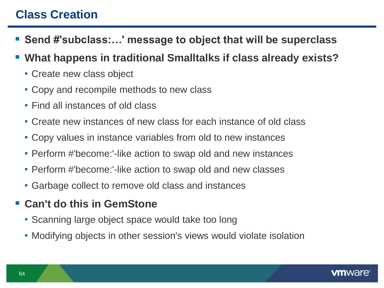## **Class Creation**

- Send #'subclass:...' message to object that will be superclass
- **What happens in traditional Smalltalks if class already exists?**
	- Create new class object
	- Copy and recompile methods to new class
	- Find all instances of old class
	- Create new instances of new class for each instance of old class
	- Copy values in instance variables from old to new instances
	- Perform #'become:'-like action to swap old and new instances
	- Perform #'become:'-like action to swap old and new classes
	- Garbage collect to remove old class and instances
- **Can't do this in GemStone**
	- Scanning large object space would take too long
	- Modifying objects in other session's views would violate isolation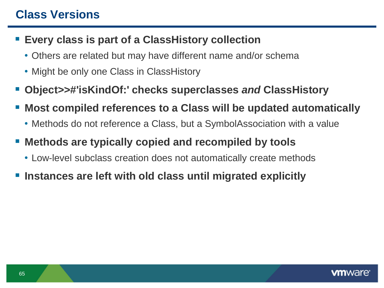## **Class Versions**

#### **Every class is part of a ClassHistory collection**

- Others are related but may have different name and/or schema
- Might be only one Class in ClassHistory
- **Object>>#'isKindOf:' checks superclasses** *and* **ClassHistory**
- **Most compiled references to a Class will be updated automatically**
	- Methods do not reference a Class, but a SymbolAssociation with a value
- **Methods are typically copied and recompiled by tools**
	- Low-level subclass creation does not automatically create methods
- **Instances are left with old class until migrated explicitly**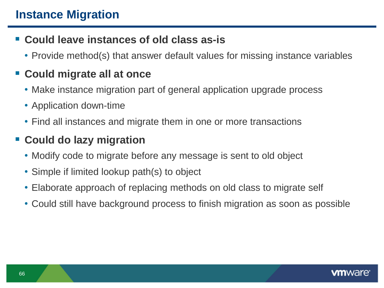## **Could leave instances of old class as-is**

• Provide method(s) that answer default values for missing instance variables

# **Could migrate all at once**

- Make instance migration part of general application upgrade process
- Application down-time
- Find all instances and migrate them in one or more transactions

# **Could do lazy migration**

- Modify code to migrate before any message is sent to old object
- Simple if limited lookup path(s) to object
- Elaborate approach of replacing methods on old class to migrate self
- Could still have background process to finish migration as soon as possible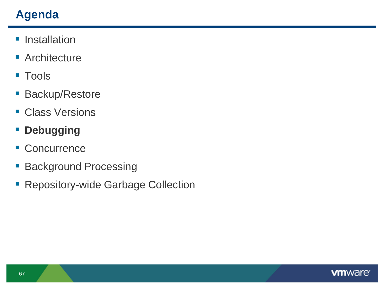# **Agenda**

- **Installation**
- **Architecture**
- **Tools**
- **Backup/Restore**
- **Class Versions**
- **P** Debugging
- **Concurrence**
- **Background Processing**
- **Repository-wide Garbage Collection**

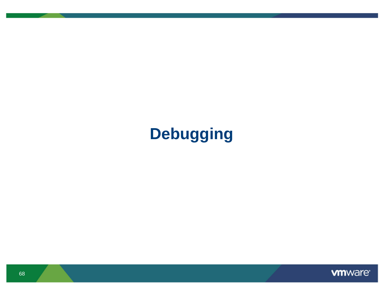# **Debugging**

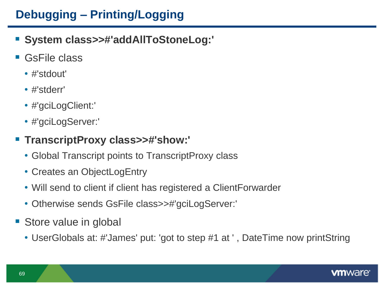# **Debugging – Printing/Logging**

- **System class>>#'addAllToStoneLog:'**
- GsFile class
	- #'stdout'
	- #'stderr'
	- #'gciLogClient:'
	- #'gciLogServer:'

#### **TranscriptProxy class>>#'show:'**

- Global Transcript points to TranscriptProxy class
- Creates an ObjectLogEntry
- Will send to client if client has registered a ClientForwarder
- Otherwise sends GsFile class>>#'gciLogServer:'
- Store value in global
	- UserGlobals at: #'James' put: 'got to step #1 at ' , DateTime now printString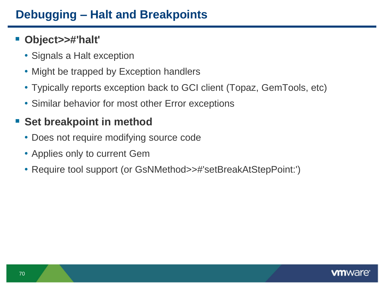# **Debugging – Halt and Breakpoints**

#### **Object>>#'halt'**

- Signals a Halt exception
- Might be trapped by Exception handlers
- Typically reports exception back to GCI client (Topaz, GemTools, etc)
- Similar behavior for most other Error exceptions

## **Set breakpoint in method**

- Does not require modifying source code
- Applies only to current Gem
- Require tool support (or GsNMethod>>#'setBreakAtStepPoint:')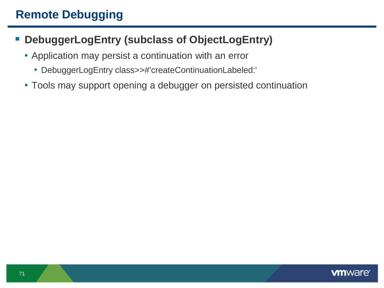# **Remote Debugging**

#### **DebuggerLogEntry (subclass of ObjectLogEntry)**

- Application may persist a continuation with an error
	- DebuggerLogEntry class>>#'createContinuationLabeled:'
- Tools may support opening a debugger on persisted continuation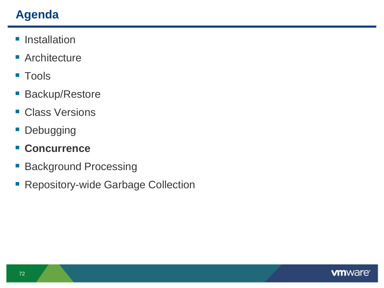# **Agenda**

- **Installation**
- **Architecture**
- **Tools**
- **Backup/Restore**
- **Class Versions**
- **Debugging**
- **Concurrence**
- **Background Processing**
- **Repository-wide Garbage Collection**

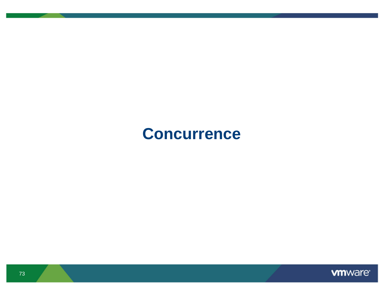# **Concurrence**

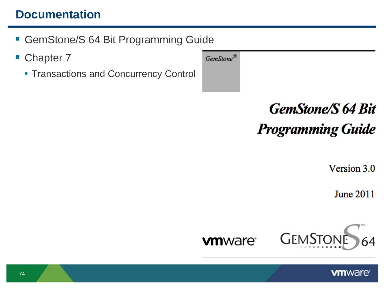# **Documentation**

- GemStone/S 64 Bit Programming Guide
- Chapter 7
	- Transactions and Concurrency Control



Version 3.0

**June 2011** 



GemStone®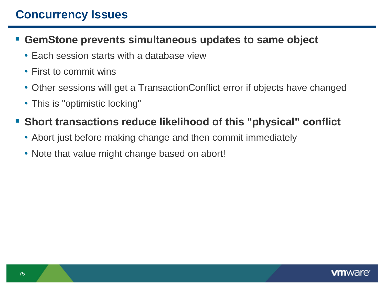# **Concurrency Issues**

#### **GemStone prevents simultaneous updates to same object**

- Each session starts with a database view
- First to commit wins
- Other sessions will get a TransactionConflict error if objects have changed
- This is "optimistic locking"

### **Short transactions reduce likelihood of this "physical" conflict**

- Abort just before making change and then commit immediately
- Note that value might change based on abort!

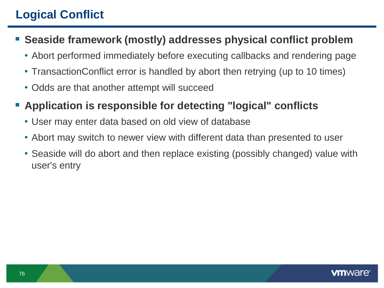# **Logical Conflict**

- **Seaside framework (mostly) addresses physical conflict problem**
	- Abort performed immediately before executing callbacks and rendering page
	- TransactionConflict error is handled by abort then retrying (up to 10 times)
	- Odds are that another attempt will succeed
- **Application is responsible for detecting "logical" conflicts**
	- User may enter data based on old view of database
	- Abort may switch to newer view with different data than presented to user
	- Seaside will do abort and then replace existing (possibly changed) value with user's entry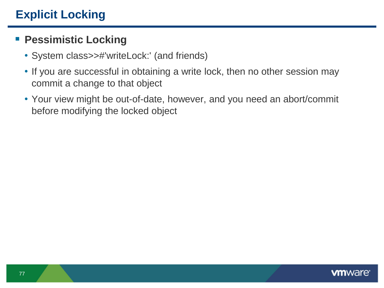#### **Pessimistic Locking**

- System class>>#'writeLock:' (and friends)
- If you are successful in obtaining a write lock, then no other session may commit a change to that object
- Your view might be out-of-date, however, and you need an abort/commit before modifying the locked object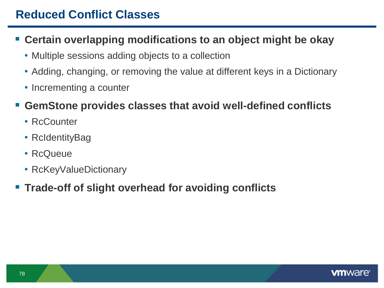# **Reduced Conflict Classes**

#### **Certain overlapping modifications to an object might be okay**

- Multiple sessions adding objects to a collection
- Adding, changing, or removing the value at different keys in a Dictionary
- Incrementing a counter

#### **GemStone provides classes that avoid well-defined conflicts**

- RcCounter
- RcIdentityBag
- RcQueue
- RcKeyValueDictionary

#### **Trade-off of slight overhead for avoiding conflicts**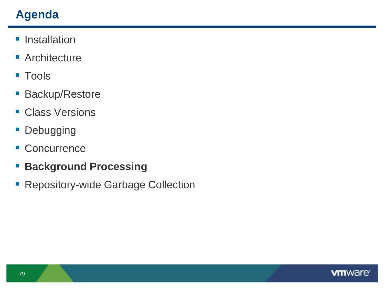# **Agenda**

- **Installation**
- **Architecture**
- **Tools**
- **Backup/Restore**
- **Class Versions**
- **Debugging**
- **Concurrence**
- **Background Processing**
- **Repository-wide Garbage Collection**

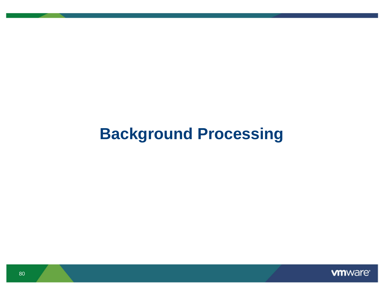# **Background Processing**

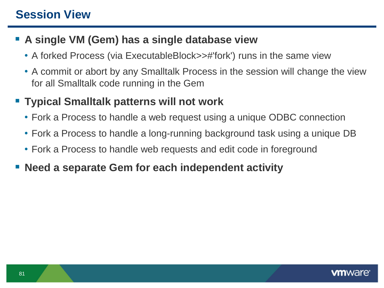# **Session View**

### **A single VM (Gem) has a single database view**

- A forked Process (via ExecutableBlock>>#'fork') runs in the same view
- A commit or abort by any Smalltalk Process in the session will change the view for all Smalltalk code running in the Gem

### **Typical Smalltalk patterns will not work**

- Fork a Process to handle a web request using a unique ODBC connection
- Fork a Process to handle a long-running background task using a unique DB
- Fork a Process to handle web requests and edit code in foreground
- **Need a separate Gem for each independent activity**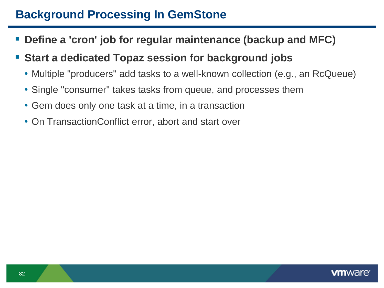## **Background Processing In GemStone**

- **Define a 'cron' job for regular maintenance (backup and MFC)**
- **Start a dedicated Topaz session for background jobs**
	- Multiple "producers" add tasks to a well-known collection (e.g., an RcQueue)
	- Single "consumer" takes tasks from queue, and processes them
	- Gem does only one task at a time, in a transaction
	- On TransactionConflict error, abort and start over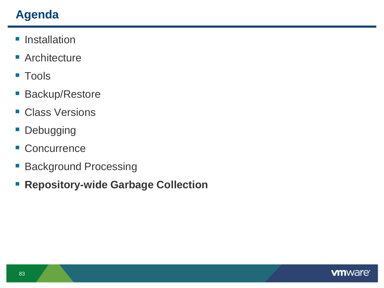# **Agenda**

- **Installation**
- **Architecture**
- **Tools**
- **Backup/Restore**
- **Class Versions**
- **Debugging**
- Concurrence
- **Background Processing**
- **Repository-wide Garbage Collection**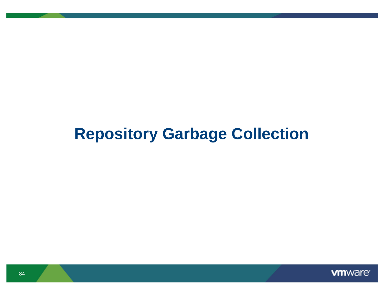# **Repository Garbage Collection**

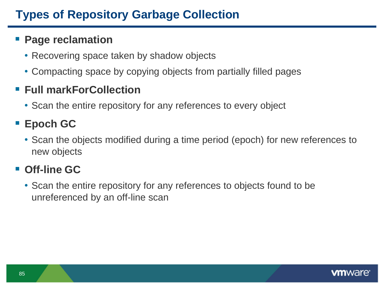# **Types of Repository Garbage Collection**

#### **Page reclamation**

- Recovering space taken by shadow objects
- Compacting space by copying objects from partially filled pages

### **Full markForCollection**

• Scan the entire repository for any references to every object

# **Epoch GC**

• Scan the objects modified during a time period (epoch) for new references to new objects

# **Off-line GC**

• Scan the entire repository for any references to objects found to be unreferenced by an off-line scan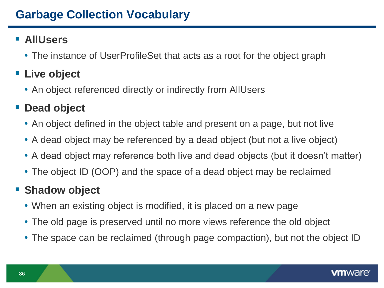### **AllUsers**

• The instance of UserProfileSet that acts as a root for the object graph

# **Live object**

• An object referenced directly or indirectly from AllUsers

# ■ Dead object

- An object defined in the object table and present on a page, but not live
- A dead object may be referenced by a dead object (but not a live object)
- A dead object may reference both live and dead objects (but it doesn't matter)
- The object ID (OOP) and the space of a dead object may be reclaimed

# **Shadow object**

- When an existing object is modified, it is placed on a new page
- The old page is preserved until no more views reference the old object
- The space can be reclaimed (through page compaction), but not the object ID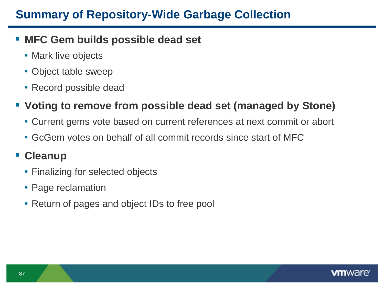# **Summary of Repository-Wide Garbage Collection**

#### **MFC Gem builds possible dead set**

- Mark live objects
- Object table sweep
- Record possible dead

#### **Voting to remove from possible dead set (managed by Stone)**

- Current gems vote based on current references at next commit or abort
- GcGem votes on behalf of all commit records since start of MFC

#### **Cleanup**

- Finalizing for selected objects
- Page reclamation
- Return of pages and object IDs to free pool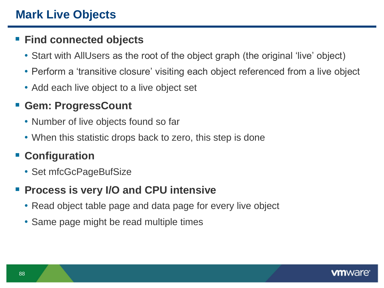#### **Find connected objects**

- Start with AllUsers as the root of the object graph (the original 'live' object)
- Perform a 'transitive closure' visiting each object referenced from a live object
- Add each live object to a live object set

#### **Gem: ProgressCount**

- Number of live objects found so far
- When this statistic drops back to zero, this step is done

# **Configuration**

• Set mfcGcPageBufSize

### **Process is very I/O and CPU intensive**

- Read object table page and data page for every live object
- Same page might be read multiple times

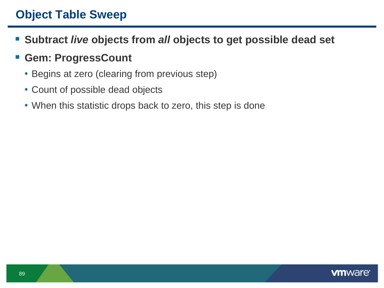## **Object Table Sweep**

- **Subtract** *live* **objects from** *all* **objects to get possible dead set**
- **Gem: ProgressCount**
	- Begins at zero (clearing from previous step)
	- Count of possible dead objects
	- When this statistic drops back to zero, this step is done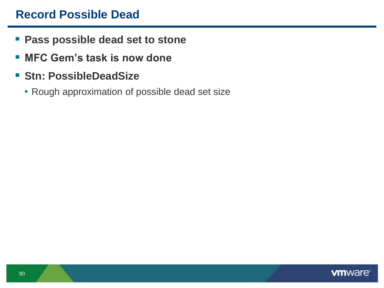### **Record Possible Dead**

- **Pass possible dead set to stone**
- **MFC Gem"s task is now done**
- **F** Stn: PossibleDeadSize
	- Rough approximation of possible dead set size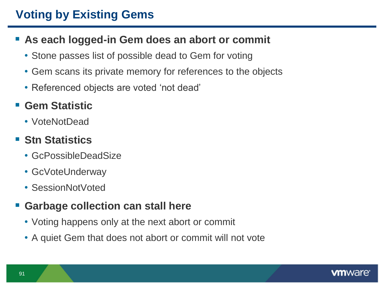# **Voting by Existing Gems**

- **As each logged-in Gem does an abort or commit**
	- Stone passes list of possible dead to Gem for voting
	- Gem scans its private memory for references to the objects
	- Referenced objects are voted 'not dead'

#### **Gem Statistic**

• VoteNotDead

### ■ Stn Statistics

- GcPossibleDeadSize
- GcVoteUnderway
- SessionNotVoted

#### **Garbage collection can stall here**

- Voting happens only at the next abort or commit
- A quiet Gem that does not abort or commit will not vote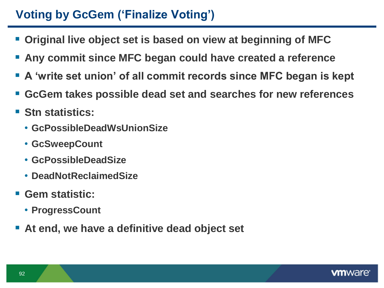# **Voting by GcGem ("Finalize Voting")**

- **Original live object set is based on view at beginning of MFC**
- **Any commit since MFC began could have created a reference**
- **A "write set union" of all commit records since MFC began is kept**
- **GcGem takes possible dead set and searches for new references**
- **Stn statistics:**
	- **GcPossibleDeadWsUnionSize**
	- **GcSweepCount**
	- **GcPossibleDeadSize**
	- **DeadNotReclaimedSize**
- **Gem statistic:**
	- **ProgressCount**
- **At end, we have a definitive dead object set**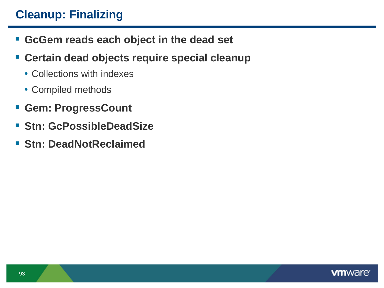# **Cleanup: Finalizing**

- **GcGem reads each object in the dead set**
- **Certain dead objects require special cleanup**
	- Collections with indexes
	- Compiled methods
- **Gem: ProgressCount**
- **Stn: GcPossibleDeadSize**
- **Stn: DeadNotReclaimed**

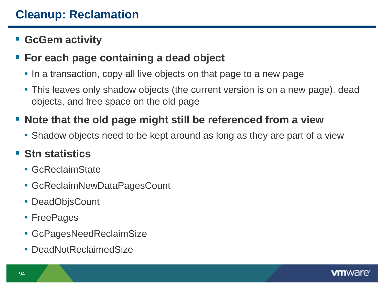# **Cleanup: Reclamation**

### **GcGem activity**

#### **For each page containing a dead object**

- In a transaction, copy all live objects on that page to a new page
- This leaves only shadow objects (the current version is on a new page), dead objects, and free space on the old page

### **Note that the old page might still be referenced from a view**

• Shadow objects need to be kept around as long as they are part of a view

### **Stn statistics**

- GcReclaimState
- GcReclaimNewDataPagesCount
- DeadObjsCount
- FreePages
- GcPagesNeedReclaimSize
- DeadNotReclaimedSize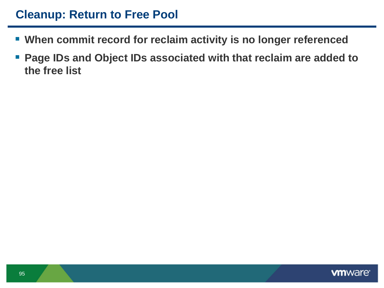### **Cleanup: Return to Free Pool**

- **When commit record for reclaim activity is no longer referenced**
- **Page IDs and Object IDs associated with that reclaim are added to the free list**